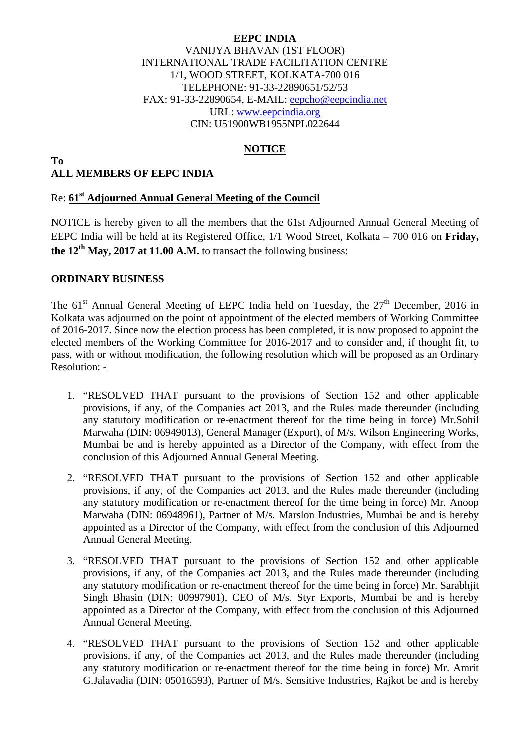### **EEPC INDIA**  VANIJYA BHAVAN (1ST FLOOR) INTERNATIONAL TRADE FACILITATION CENTRE 1/1, WOOD STREET, KOLKATA-700 016 TELEPHONE: 91-33-22890651/52/53 FAX: 91-33-22890654, E-MAIL: eepcho@eepcindia.net URL: www.eepcindia.org CIN: U51900WB1955NPL022644

## **NOTICE**

#### **To ALL MEMBERS OF EEPC INDIA**

## Re: **61st Adjourned Annual General Meeting of the Council**

NOTICE is hereby given to all the members that the 61st Adjourned Annual General Meeting of EEPC India will be held at its Registered Office, 1/1 Wood Street, Kolkata – 700 016 on **Friday, the 12<sup>th</sup> May, 2017 at 11.00 A.M.** to transact the following business:

### **ORDINARY BUSINESS**

The  $61<sup>st</sup>$  Annual General Meeting of EEPC India held on Tuesday, the  $27<sup>th</sup>$  December, 2016 in Kolkata was adjourned on the point of appointment of the elected members of Working Committee of 2016-2017. Since now the election process has been completed, it is now proposed to appoint the elected members of the Working Committee for 2016-2017 and to consider and, if thought fit, to pass, with or without modification, the following resolution which will be proposed as an Ordinary Resolution: -

- 1. "RESOLVED THAT pursuant to the provisions of Section 152 and other applicable provisions, if any, of the Companies act 2013, and the Rules made thereunder (including any statutory modification or re-enactment thereof for the time being in force) Mr.Sohil Marwaha (DIN: 06949013), General Manager (Export), of M/s. Wilson Engineering Works, Mumbai be and is hereby appointed as a Director of the Company, with effect from the conclusion of this Adjourned Annual General Meeting.
- 2. "RESOLVED THAT pursuant to the provisions of Section 152 and other applicable provisions, if any, of the Companies act 2013, and the Rules made thereunder (including any statutory modification or re-enactment thereof for the time being in force) Mr. Anoop Marwaha (DIN: 06948961), Partner of M/s. Marslon Industries, Mumbai be and is hereby appointed as a Director of the Company, with effect from the conclusion of this Adjourned Annual General Meeting.
- 3. "RESOLVED THAT pursuant to the provisions of Section 152 and other applicable provisions, if any, of the Companies act 2013, and the Rules made thereunder (including any statutory modification or re-enactment thereof for the time being in force) Mr. Sarabhjit Singh Bhasin (DIN: 00997901), CEO of M/s. Styr Exports, Mumbai be and is hereby appointed as a Director of the Company, with effect from the conclusion of this Adjourned Annual General Meeting.
- 4. "RESOLVED THAT pursuant to the provisions of Section 152 and other applicable provisions, if any, of the Companies act 2013, and the Rules made thereunder (including any statutory modification or re-enactment thereof for the time being in force) Mr. Amrit G.Jalavadia (DIN: 05016593), Partner of M/s. Sensitive Industries, Rajkot be and is hereby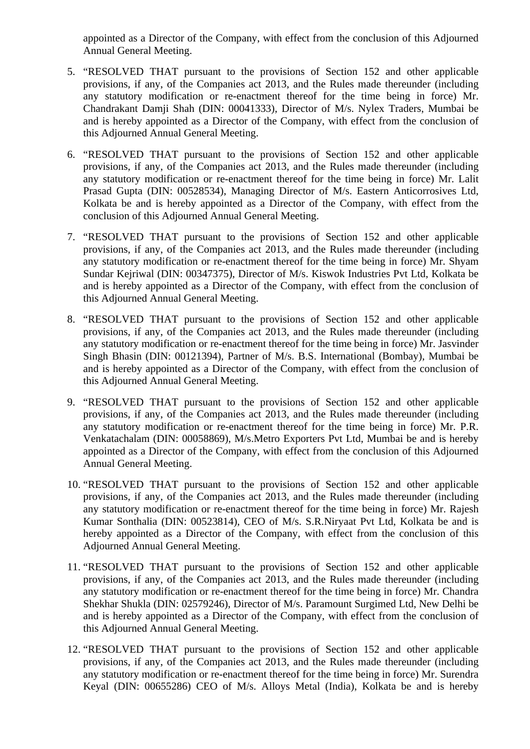appointed as a Director of the Company, with effect from the conclusion of this Adjourned Annual General Meeting.

- 5. "RESOLVED THAT pursuant to the provisions of Section 152 and other applicable provisions, if any, of the Companies act 2013, and the Rules made thereunder (including any statutory modification or re-enactment thereof for the time being in force) Mr. Chandrakant Damji Shah (DIN: 00041333), Director of M/s. Nylex Traders, Mumbai be and is hereby appointed as a Director of the Company, with effect from the conclusion of this Adjourned Annual General Meeting.
- 6. "RESOLVED THAT pursuant to the provisions of Section 152 and other applicable provisions, if any, of the Companies act 2013, and the Rules made thereunder (including any statutory modification or re-enactment thereof for the time being in force) Mr. Lalit Prasad Gupta (DIN: 00528534), Managing Director of M/s. Eastern Anticorrosives Ltd, Kolkata be and is hereby appointed as a Director of the Company, with effect from the conclusion of this Adjourned Annual General Meeting.
- 7. "RESOLVED THAT pursuant to the provisions of Section 152 and other applicable provisions, if any, of the Companies act 2013, and the Rules made thereunder (including any statutory modification or re-enactment thereof for the time being in force) Mr. Shyam Sundar Kejriwal (DIN: 00347375), Director of M/s. Kiswok Industries Pvt Ltd, Kolkata be and is hereby appointed as a Director of the Company, with effect from the conclusion of this Adjourned Annual General Meeting.
- 8. "RESOLVED THAT pursuant to the provisions of Section 152 and other applicable provisions, if any, of the Companies act 2013, and the Rules made thereunder (including any statutory modification or re-enactment thereof for the time being in force) Mr. Jasvinder Singh Bhasin (DIN: 00121394), Partner of M/s. B.S. International (Bombay), Mumbai be and is hereby appointed as a Director of the Company, with effect from the conclusion of this Adjourned Annual General Meeting.
- 9. "RESOLVED THAT pursuant to the provisions of Section 152 and other applicable provisions, if any, of the Companies act 2013, and the Rules made thereunder (including any statutory modification or re-enactment thereof for the time being in force) Mr. P.R. Venkatachalam (DIN: 00058869), M/s.Metro Exporters Pvt Ltd, Mumbai be and is hereby appointed as a Director of the Company, with effect from the conclusion of this Adjourned Annual General Meeting.
- 10. "RESOLVED THAT pursuant to the provisions of Section 152 and other applicable provisions, if any, of the Companies act 2013, and the Rules made thereunder (including any statutory modification or re-enactment thereof for the time being in force) Mr. Rajesh Kumar Sonthalia (DIN: 00523814), CEO of M/s. S.R.Niryaat Pvt Ltd, Kolkata be and is hereby appointed as a Director of the Company, with effect from the conclusion of this Adjourned Annual General Meeting.
- 11. "RESOLVED THAT pursuant to the provisions of Section 152 and other applicable provisions, if any, of the Companies act 2013, and the Rules made thereunder (including any statutory modification or re-enactment thereof for the time being in force) Mr. Chandra Shekhar Shukla (DIN: 02579246), Director of M/s. Paramount Surgimed Ltd, New Delhi be and is hereby appointed as a Director of the Company, with effect from the conclusion of this Adjourned Annual General Meeting.
- 12. "RESOLVED THAT pursuant to the provisions of Section 152 and other applicable provisions, if any, of the Companies act 2013, and the Rules made thereunder (including any statutory modification or re-enactment thereof for the time being in force) Mr. Surendra Keyal (DIN: 00655286) CEO of M/s. Alloys Metal (India), Kolkata be and is hereby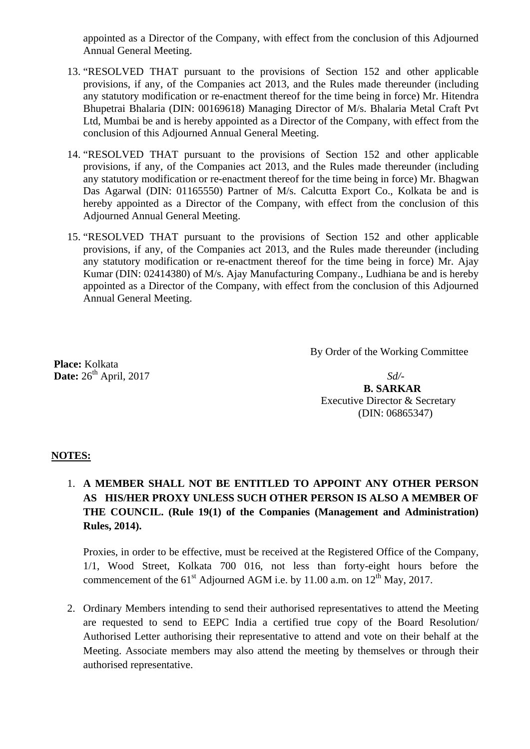appointed as a Director of the Company, with effect from the conclusion of this Adjourned Annual General Meeting.

- 13. "RESOLVED THAT pursuant to the provisions of Section 152 and other applicable provisions, if any, of the Companies act 2013, and the Rules made thereunder (including any statutory modification or re-enactment thereof for the time being in force) Mr. Hitendra Bhupetrai Bhalaria (DIN: 00169618) Managing Director of M/s. Bhalaria Metal Craft Pvt Ltd, Mumbai be and is hereby appointed as a Director of the Company, with effect from the conclusion of this Adjourned Annual General Meeting.
- 14. "RESOLVED THAT pursuant to the provisions of Section 152 and other applicable provisions, if any, of the Companies act 2013, and the Rules made thereunder (including any statutory modification or re-enactment thereof for the time being in force) Mr. Bhagwan Das Agarwal (DIN: 01165550) Partner of M/s. Calcutta Export Co., Kolkata be and is hereby appointed as a Director of the Company, with effect from the conclusion of this Adjourned Annual General Meeting.
- 15. "RESOLVED THAT pursuant to the provisions of Section 152 and other applicable provisions, if any, of the Companies act 2013, and the Rules made thereunder (including any statutory modification or re-enactment thereof for the time being in force) Mr. Ajay Kumar (DIN: 02414380) of M/s. Ajay Manufacturing Company., Ludhiana be and is hereby appointed as a Director of the Company, with effect from the conclusion of this Adjourned Annual General Meeting.

By Order of the Working Committee

 **Place:** Kolkata **Date:**  $26^{th}$  April, 2017 *Sd*/-

 **B. SARKAR**  Executive Director & Secretary (DIN: 06865347)

## **NOTES:**

# 1. **A MEMBER SHALL NOT BE ENTITLED TO APPOINT ANY OTHER PERSON AS HIS/HER PROXY UNLESS SUCH OTHER PERSON IS ALSO A MEMBER OF THE COUNCIL. (Rule 19(1) of the Companies (Management and Administration) Rules, 2014).**

Proxies, in order to be effective, must be received at the Registered Office of the Company, 1/1, Wood Street, Kolkata 700 016, not less than forty-eight hours before the commencement of the  $61^{\text{st}}$  Adjourned AGM i.e. by 11.00 a.m. on  $12^{\text{th}}$  May, 2017.

2. Ordinary Members intending to send their authorised representatives to attend the Meeting are requested to send to EEPC India a certified true copy of the Board Resolution/ Authorised Letter authorising their representative to attend and vote on their behalf at the Meeting. Associate members may also attend the meeting by themselves or through their authorised representative.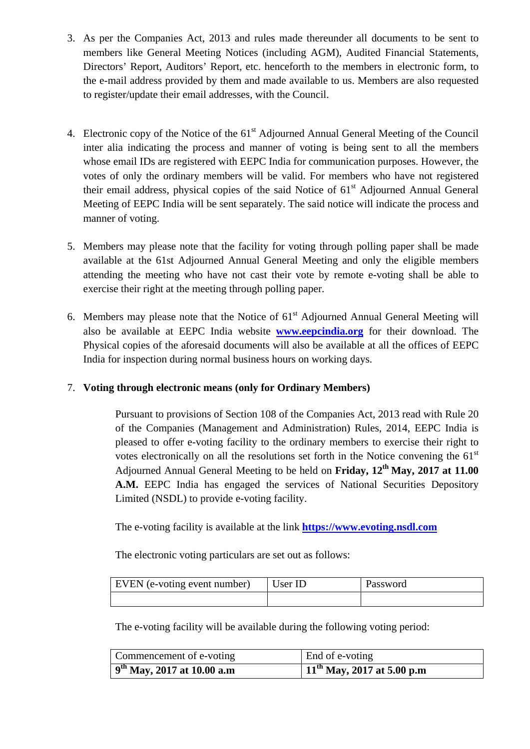- 3. As per the Companies Act, 2013 and rules made thereunder all documents to be sent to members like General Meeting Notices (including AGM), Audited Financial Statements, Directors' Report, Auditors' Report, etc. henceforth to the members in electronic form, to the e-mail address provided by them and made available to us. Members are also requested to register/update their email addresses, with the Council.
- 4. Electronic copy of the Notice of the 61<sup>st</sup> Adjourned Annual General Meeting of the Council inter alia indicating the process and manner of voting is being sent to all the members whose email IDs are registered with EEPC India for communication purposes. However, the votes of only the ordinary members will be valid. For members who have not registered their email address, physical copies of the said Notice of  $61<sup>st</sup>$  Adjourned Annual General Meeting of EEPC India will be sent separately. The said notice will indicate the process and manner of voting.
- 5. Members may please note that the facility for voting through polling paper shall be made available at the 61st Adjourned Annual General Meeting and only the eligible members attending the meeting who have not cast their vote by remote e-voting shall be able to exercise their right at the meeting through polling paper.
- 6. Members may please note that the Notice of  $61<sup>st</sup>$  Adjourned Annual General Meeting will also be available at EEPC India website **www.eepcindia.org** for their download. The Physical copies of the aforesaid documents will also be available at all the offices of EEPC India for inspection during normal business hours on working days.

## 7. **Voting through electronic means (only for Ordinary Members)**

Pursuant to provisions of Section 108 of the Companies Act, 2013 read with Rule 20 of the Companies (Management and Administration) Rules, 2014, EEPC India is pleased to offer e-voting facility to the ordinary members to exercise their right to votes electronically on all the resolutions set forth in the Notice convening the  $61<sup>st</sup>$ Adjourned Annual General Meeting to be held on **Friday, 12th May, 2017 at 11.00 A.M.** EEPC India has engaged the services of National Securities Depository Limited (NSDL) to provide e-voting facility.

The e-voting facility is available at the link **https://www.evoting.nsdl.com**

The electronic voting particulars are set out as follows:

| EVEN (e-voting event number) | User ID | Password |
|------------------------------|---------|----------|
|                              |         |          |

The e-voting facility will be available during the following voting period:

| Commencement of e-voting        | End of e-voting                 |
|---------------------------------|---------------------------------|
| $9^{th}$ May, 2017 at 10.00 a.m | $11^{th}$ May, 2017 at 5.00 p.m |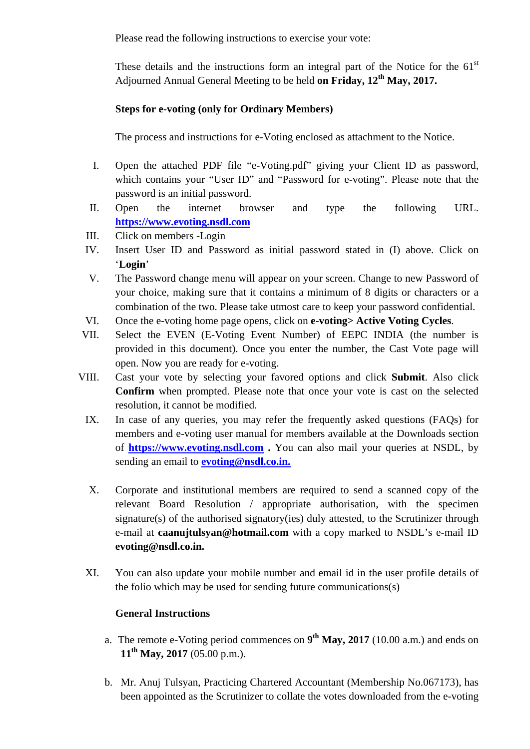Please read the following instructions to exercise your vote:

These details and the instructions form an integral part of the Notice for the  $61<sup>st</sup>$ Adjourned Annual General Meeting to be held **on Friday, 12th May, 2017.**

## **Steps for e-voting (only for Ordinary Members)**

The process and instructions for e-Voting enclosed as attachment to the Notice.

- I. Open the attached PDF file "e-Voting.pdf" giving your Client ID as password, which contains your "User ID" and "Password for e-voting". Please note that the password is an initial password.
- II. Open the internet browser and type the following URL. **https://www.evoting.nsdl.com**
- III. Click on members -Login
- IV. Insert User ID and Password as initial password stated in (I) above. Click on '**Login**'
- V. The Password change menu will appear on your screen. Change to new Password of your choice, making sure that it contains a minimum of 8 digits or characters or a combination of the two. Please take utmost care to keep your password confidential.
- VI. Once the e-voting home page opens, click on **e-voting> Active Voting Cycles**.
- VII. Select the EVEN (E-Voting Event Number) of EEPC INDIA (the number is provided in this document). Once you enter the number, the Cast Vote page will open. Now you are ready for e-voting.
- VIII. Cast your vote by selecting your favored options and click **Submit**. Also click **Confirm** when prompted. Please note that once your vote is cast on the selected resolution, it cannot be modified.
	- IX. In case of any queries, you may refer the frequently asked questions (FAQs) for members and e-voting user manual for members available at the Downloads section of **https://www.evoting.nsdl.com .** You can also mail your queries at NSDL, by sending an email to **evoting@nsdl.co.in.**
	- X. Corporate and institutional members are required to send a scanned copy of the relevant Board Resolution / appropriate authorisation, with the specimen signature(s) of the authorised signatory(ies) duly attested, to the Scrutinizer through e-mail at **caanujtulsyan@hotmail.com** with a copy marked to NSDL's e-mail ID **evoting@nsdl.co.in.**
	- XI. You can also update your mobile number and email id in the user profile details of the folio which may be used for sending future communications(s)

## **General Instructions**

- a. The remote e-Voting period commences on **9th May, 2017** (10.00 a.m.) and ends on **11th May, 2017** (05.00 p.m.).
- b. Mr. Anuj Tulsyan, Practicing Chartered Accountant (Membership No.067173), has been appointed as the Scrutinizer to collate the votes downloaded from the e-voting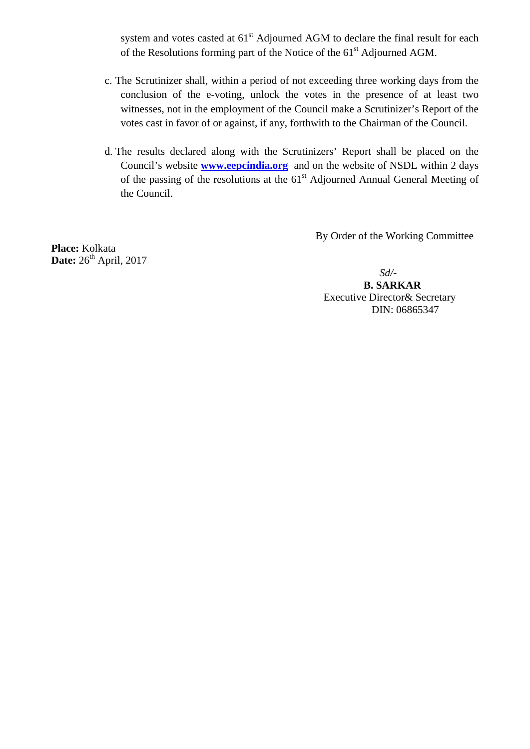system and votes casted at  $61<sup>st</sup>$  Adjourned AGM to declare the final result for each of the Resolutions forming part of the Notice of the 61<sup>st</sup> Adjourned AGM.

- c. The Scrutinizer shall, within a period of not exceeding three working days from the conclusion of the e-voting, unlock the votes in the presence of at least two witnesses, not in the employment of the Council make a Scrutinizer's Report of the votes cast in favor of or against, if any, forthwith to the Chairman of the Council.
- d. The results declared along with the Scrutinizers' Report shall be placed on the Council's website **www.eepcindia.org** and on the website of NSDL within 2 days of the passing of the resolutions at the 61<sup>st</sup> Adjourned Annual General Meeting of the Council.

By Order of the Working Committee

**Place:** Kolkata **Date:** 26<sup>th</sup> April, 2017

*Sd/-*

 **B. SARKAR**  Executive Director& Secretary DIN: 06865347